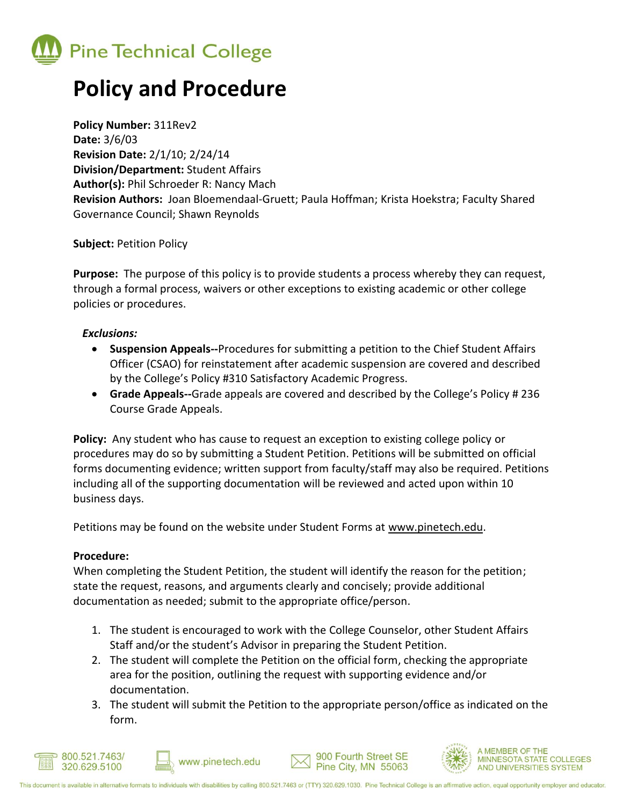

# **Policy and Procedure**

**Policy Number:** 311Rev2 **Date:** 3/6/03 **Revision Date:** 2/1/10; 2/24/14 **Division/Department:** Student Affairs **Author(s):** Phil Schroeder R: Nancy Mach **Revision Authors:** Joan Bloemendaal-Gruett; Paula Hoffman; Krista Hoekstra; Faculty Shared Governance Council; Shawn Reynolds

**Subject:** Petition Policy

**Purpose:** The purpose of this policy is to provide students a process whereby they can request, through a formal process, waivers or other exceptions to existing academic or other college policies or procedures.

### *Exclusions:*

- **Suspension Appeals--**Procedures for submitting a petition to the Chief Student Affairs Officer (CSAO) for reinstatement after academic suspension are covered and described by the College's Policy #310 Satisfactory Academic Progress.
- **Grade Appeals--**Grade appeals are covered and described by the College's Policy # 236 Course Grade Appeals.

**Policy:** Any student who has cause to request an exception to existing college policy or procedures may do so by submitting a Student Petition. Petitions will be submitted on official forms documenting evidence; written support from faculty/staff may also be required. Petitions including all of the supporting documentation will be reviewed and acted upon within 10 business days.

Petitions may be found on the website under Student Forms at www.pinetech.edu.

#### **Procedure:**

When completing the Student Petition, the student will identify the reason for the petition; state the request, reasons, and arguments clearly and concisely; provide additional documentation as needed; submit to the appropriate office/person.

- 1. The student is encouraged to work with the College Counselor, other Student Affairs Staff and/or the student's Advisor in preparing the Student Petition.
- 2. The student will complete the Petition on the official form, checking the appropriate area for the position, outlining the request with supporting evidence and/or documentation.
- 3. The student will submit the Petition to the appropriate person/office as indicated on the form.







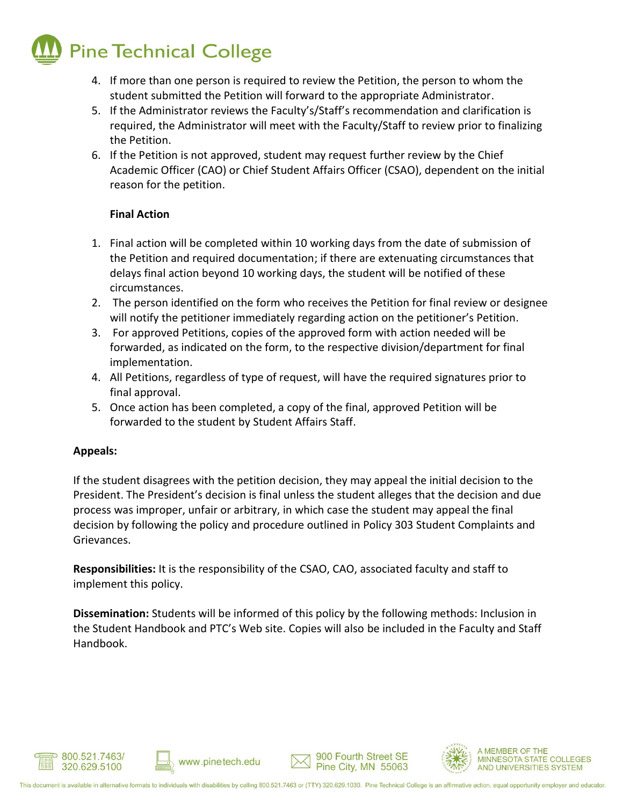# **Pine Technical College**

- 4. If more than one person is required to review the Petition, the person to whom the student submitted the Petition will forward to the appropriate Administrator.
- 5. If the Administrator reviews the Faculty's/Staff's recommendation and clarification is required, the Administrator will meet with the Faculty/Staff to review prior to finalizing the Petition.
- 6. If the Petition is not approved, student may request further review by the Chief Academic Officer (CAO) or Chief Student Affairs Officer (CSAO), dependent on the initial reason for the petition.

## **Final Action**

- 1. Final action will be completed within 10 working days from the date of submission of the Petition and required documentation; if there are extenuating circumstances that delays final action beyond 10 working days, the student will be notified of these circumstances.
- 2. The person identified on the form who receives the Petition for final review or designee will notify the petitioner immediately regarding action on the petitioner's Petition.
- 3. For approved Petitions, copies of the approved form with action needed will be forwarded, as indicated on the form, to the respective division/department for final implementation.
- 4. All Petitions, regardless of type of request, will have the required signatures prior to final approval.
- 5. Once action has been completed, a copy of the final, approved Petition will be forwarded to the student by Student Affairs Staff.

### **Appeals:**

If the student disagrees with the petition decision, they may appeal the initial decision to the President. The President's decision is final unless the student alleges that the decision and due process was improper, unfair or arbitrary, in which case the student may appeal the final decision by following the policy and procedure outlined in Policy 303 Student Complaints and Grievances.

**Responsibilities:** It is the responsibility of the CSAO, CAO, associated faculty and staff to implement this policy.

**Dissemination:** Students will be informed of this policy by the following methods: Inclusion in the Student Handbook and PTC's Web site. Copies will also be included in the Faculty and Staff Handbook.